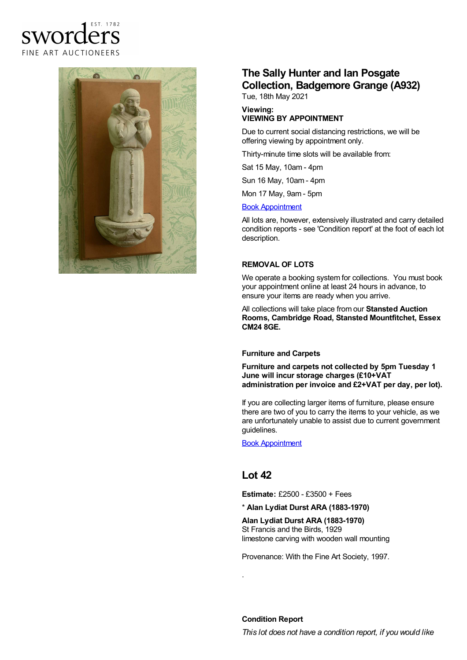### FST 1782 sword  $\epsilon$ FINE ART AUCTIONEERS



# **The Sally Hunter and Ian Posgate Collection, Badgemore Grange (A932)**

Tue, 18th May 2021

#### **Viewing: VIEWING BY APPOINTMENT**

Due to current social distancing restrictions, we will be offering viewing by appointment only.

Thirty-minute time slots will be available from:

Sat 15 May, 10am - 4pm

Sun 16 May, 10am - 4pm

Mon 17 May, 9am - 5pm

#### Book [Appointment](https://www.sworder.co.uk/appointments/)

All lots are, however, extensively illustrated and carry detailed condition reports - see 'Condition report' at the foot of each lot description.

#### **REMOVAL OF LOTS**

We operate a booking system for collections. You must book your appointment online at least 24 hours in advance, to ensure your items are ready when you arrive.

All collections will take place from our **Stansted Auction Rooms, Cambridge Road, Stansted Mountfitchet, Essex CM24 8GE.**

#### **Furniture and Carpets**

**Furniture and carpets not collected by 5pm Tuesday 1 June will incur storage charges (£10+VAT administration per invoice and £2+VAT per day, per lot).**

If you are collecting larger items of furniture, please ensure there are two of you to carry the items to your vehicle, as we are unfortunately unable to assist due to current government guidelines.

Book [Appointment](https://www.sworder.co.uk/appointments/)

## **Lot 42**

.

**Estimate:** £2500 - £3500 + Fees

#### \* **Alan Lydiat Durst ARA (1883-1970)**

**Alan Lydiat Durst ARA (1883-1970)** St Francis and the Birds, 1929 limestone carving with wooden wall mounting

Provenance: With the Fine Art Society, 1997.

**Condition Report**

*This lot does not have a condition report, if you would like*